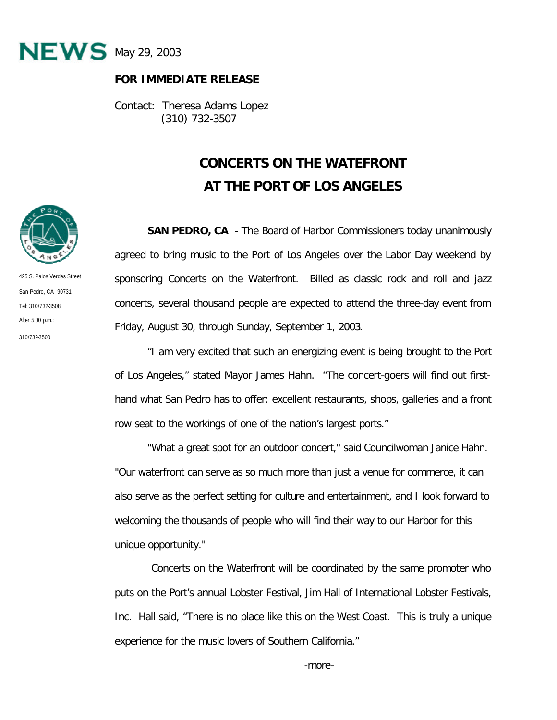

## **FOR IMMEDIATE RELEASE**

Contact: Theresa Adams Lopez (310) 732-3507

## **CONCERTS ON THE WATEFRONT AT THE PORT OF LOS ANGELES**

**SAN PEDRO, CA** - The Board of Harbor Commissioners today unanimously agreed to bring music to the Port of Los Angeles over the Labor Day weekend by sponsoring Concerts on the Waterfront. Billed as classic rock and roll and jazz concerts, several thousand people are expected to attend the three-day event from Friday, August 30, through Sunday, September 1, 2003.

"I am very excited that such an energizing event is being brought to the Port of Los Angeles," stated Mayor James Hahn. "The concert-goers will find out firsthand what San Pedro has to offer: excellent restaurants, shops, galleries and a front row seat to the workings of one of the nation's largest ports."

"What a great spot for an outdoor concert," said Councilwoman Janice Hahn. "Our waterfront can serve as so much more than just a venue for commerce, it can also serve as the perfect setting for culture and entertainment, and I look forward to welcoming the thousands of people who will find their way to our Harbor for this unique opportunity."

 Concerts on the Waterfront will be coordinated by the same promoter who puts on the Port's annual Lobster Festival, Jim Hall of International Lobster Festivals, Inc. Hall said, "There is no place like this on the West Coast. This is truly a unique experience for the music lovers of Southern California."



425 S. Palos Verdes Street San Pedro, CA 90731 Tel: 310/732-3508 After  $5:00 \text{ p.m.}$ 310/732-3500